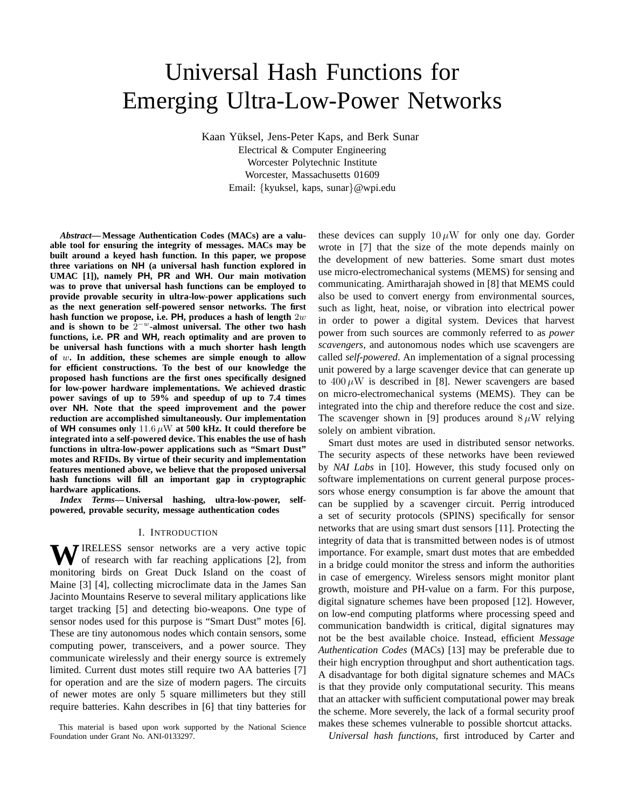# Universal Hash Functions for Emerging Ultra-Low-Power Networks

Kaan Yüksel, Jens-Peter Kaps, and Berk Sunar Electrical & Computer Engineering Worcester Polytechnic Institute Worcester, Massachusetts 01609 Email: {kyuksel, kaps, sunar}@wpi.edu

*Abstract***— Message Authentication Codes (MACs) are a valuable tool for ensuring the integrity of messages. MACs may be built around a keyed hash function. In this paper, we propose three variations on NH (a universal hash function explored in UMAC [1]), namely PH, PR and WH. Our main motivation was to prove that universal hash functions can be employed to provide provable security in ultra-low-power applications such as the next generation self-powered sensor networks. The first hash function we propose, i.e. PH, produces a hash of length** 2w **and is shown to be** 2 <sup>−</sup><sup>w</sup>**-almost universal. The other two hash functions, i.e. PR and WH, reach optimality and are proven to be universal hash functions with a much shorter hash length of** w**. In addition, these schemes are simple enough to allow for efficient constructions. To the best of our knowledge the proposed hash functions are the first ones specifically designed for low-power hardware implementations. We achieved drastic power savings of up to 59% and speedup of up to 7.4 times over NH. Note that the speed improvement and the power reduction are accomplished simultaneously. Our implementation of WH consumes only** 11.6 µW **at 500 kHz. It could therefore be integrated into a self-powered device. This enables the use of hash functions in ultra-low-power applications such as "Smart Dust" motes and RFIDs. By virtue of their security and implementation features mentioned above, we believe that the proposed universal hash functions will fill an important gap in cryptographic hardware applications.**

*Index Terms***— Universal hashing, ultra-low-power, selfpowered, provable security, message authentication codes**

## I. INTRODUCTION

WIRELESS sensor networks are a very active topic of research with far reaching applications [2], from monitoring birds on Great Duck Island on the coast of Maine [3] [4], collecting microclimate data in the James San Jacinto Mountains Reserve to several military applications like target tracking [5] and detecting bio-weapons. One type of sensor nodes used for this purpose is "Smart Dust" motes [6]. These are tiny autonomous nodes which contain sensors, some computing power, transceivers, and a power source. They communicate wirelessly and their energy source is extremely limited. Current dust motes still require two AA batteries [7] for operation and are the size of modern pagers. The circuits of newer motes are only 5 square millimeters but they still require batteries. Kahn describes in [6] that tiny batteries for these devices can supply  $10 \mu W$  for only one day. Gorder wrote in [7] that the size of the mote depends mainly on the development of new batteries. Some smart dust motes use micro-electromechanical systems (MEMS) for sensing and communicating. Amirtharajah showed in [8] that MEMS could also be used to convert energy from environmental sources, such as light, heat, noise, or vibration into electrical power in order to power a digital system. Devices that harvest power from such sources are commonly referred to as *power scavengers*, and autonomous nodes which use scavengers are called *self-powered*. An implementation of a signal processing unit powered by a large scavenger device that can generate up to  $400 \mu$ W is described in [8]. Newer scavengers are based on micro-electromechanical systems (MEMS). They can be integrated into the chip and therefore reduce the cost and size. The scavenger shown in [9] produces around  $8 \mu$ W relying solely on ambient vibration.

Smart dust motes are used in distributed sensor networks. The security aspects of these networks have been reviewed by *NAI Labs* in [10]. However, this study focused only on software implementations on current general purpose processors whose energy consumption is far above the amount that can be supplied by a scavenger circuit. Perrig introduced a set of security protocols (SPINS) specifically for sensor networks that are using smart dust sensors [11]. Protecting the integrity of data that is transmitted between nodes is of utmost importance. For example, smart dust motes that are embedded in a bridge could monitor the stress and inform the authorities in case of emergency. Wireless sensors might monitor plant growth, moisture and PH-value on a farm. For this purpose, digital signature schemes have been proposed [12]. However, on low-end computing platforms where processing speed and communication bandwidth is critical, digital signatures may not be the best available choice. Instead, efficient *Message Authentication Codes* (MACs) [13] may be preferable due to their high encryption throughput and short authentication tags. A disadvantage for both digital signature schemes and MACs is that they provide only computational security. This means that an attacker with sufficient computational power may break the scheme. More severely, the lack of a formal security proof makes these schemes vulnerable to possible shortcut attacks.

*Universal hash functions*, first introduced by Carter and

This material is based upon work supported by the National Science Foundation under Grant No. ANI-0133297.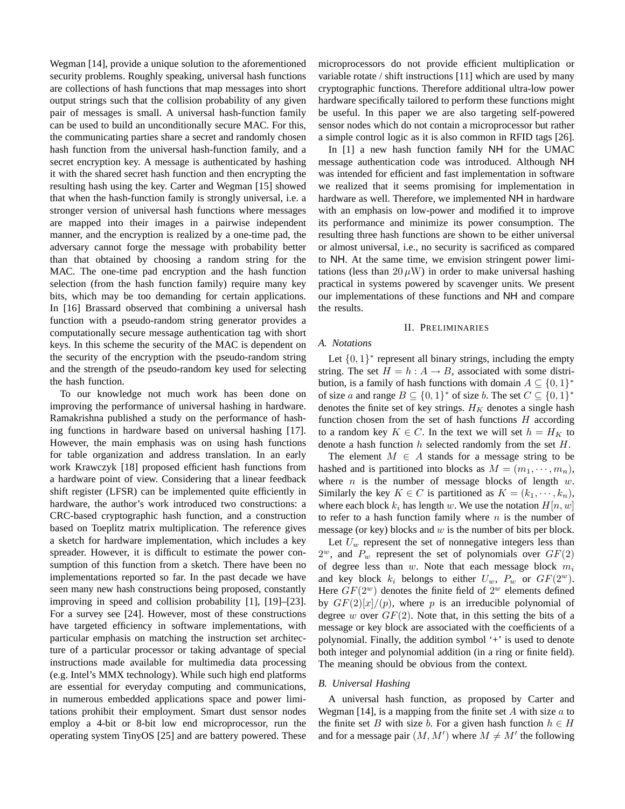Wegman [14], provide a unique solution to the aforementioned security problems. Roughly speaking, universal hash functions are collections of hash functions that map messages into short output strings such that the collision probability of any given pair of messages is small. A universal hash-function family can be used to build an unconditionally secure MAC. For this, the communicating parties share a secret and randomly chosen hash function from the universal hash-function family, and a secret encryption key. A message is authenticated by hashing it with the shared secret hash function and then encrypting the resulting hash using the key. Carter and Wegman [15] showed that when the hash-function family is strongly universal, i.e. a stronger version of universal hash functions where messages are mapped into their images in a pairwise independent manner, and the encryption is realized by a one-time pad, the adversary cannot forge the message with probability better than that obtained by choosing a random string for the MAC. The one-time pad encryption and the hash function selection (from the hash function family) require many key bits, which may be too demanding for certain applications. In [16] Brassard observed that combining a universal hash function with a pseudo-random string generator provides a computationally secure message authentication tag with short keys. In this scheme the security of the MAC is dependent on the security of the encryption with the pseudo-random string and the strength of the pseudo-random key used for selecting the hash function.

To our knowledge not much work has been done on improving the performance of universal hashing in hardware. Ramakrishna published a study on the performance of hashing functions in hardware based on universal hashing [17]. However, the main emphasis was on using hash functions for table organization and address translation. In an early work Krawczyk [18] proposed efficient hash functions from a hardware point of view. Considering that a linear feedback shift register (LFSR) can be implemented quite efficiently in hardware, the author's work introduced two constructions: a CRC-based cryptographic hash function, and a construction based on Toeplitz matrix multiplication. The reference gives a sketch for hardware implementation, which includes a key spreader. However, it is difficult to estimate the power consumption of this function from a sketch. There have been no implementations reported so far. In the past decade we have seen many new hash constructions being proposed, constantly improving in speed and collision probability [1], [19]–[23]. For a survey see [24]. However, most of these constructions have targeted efficiency in software implementations, with particular emphasis on matching the instruction set architecture of a particular processor or taking advantage of special instructions made available for multimedia data processing (e.g. Intel's MMX technology). While such high end platforms are essential for everyday computing and communications, in numerous embedded applications space and power limitations prohibit their employment. Smart dust sensor nodes employ a 4-bit or 8-bit low end microprocessor, run the operating system TinyOS [25] and are battery powered. These microprocessors do not provide efficient multiplication or variable rotate / shift instructions [11] which are used by many cryptographic functions. Therefore additional ultra-low power hardware specifically tailored to perform these functions might be useful. In this paper we are also targeting self-powered sensor nodes which do not contain a microprocessor but rather a simple control logic as it is also common in RFID tags [26].

In [1] a new hash function family NH for the UMAC message authentication code was introduced. Although NH was intended for efficient and fast implementation in software we realized that it seems promising for implementation in hardware as well. Therefore, we implemented NH in hardware with an emphasis on low-power and modified it to improve its performance and minimize its power consumption. The resulting three hash functions are shown to be either universal or almost universal, i.e., no security is sacrificed as compared to NH. At the same time, we envision stringent power limitations (less than  $20 \mu W$ ) in order to make universal hashing practical in systems powered by scavenger units. We present our implementations of these functions and NH and compare the results.

## II. PRELIMINARIES

## *A. Notations*

Let  $\{0, 1\}^*$  represent all binary strings, including the empty string. The set  $H = h : A \rightarrow B$ , associated with some distribution, is a family of hash functions with domain  $A \subseteq \{0,1\}^*$ of size a and range  $B \subseteq \{0,1\}^*$  of size b. The set  $C \subseteq \{0,1\}^*$ denotes the finite set of key strings.  $H_K$  denotes a single hash function chosen from the set of hash functions  $H$  according to a random key  $K \in C$ . In the text we will set  $h = H_K$  to denote a hash function  $h$  selected randomly from the set  $H$ .

The element  $M \in A$  stands for a message string to be hashed and is partitioned into blocks as  $M = (m_1, \dots, m_n)$ , where  $n$  is the number of message blocks of length  $w$ . Similarly the key  $K \in C$  is partitioned as  $K = (k_1, \dots, k_n)$ , where each block  $k_i$  has length w. We use the notation  $H[n, w]$ to refer to a hash function family where  $n$  is the number of message (or key) blocks and  $w$  is the number of bits per block.

Let  $U_w$  represent the set of nonnegative integers less than  $2^w$ , and  $P_w$  represent the set of polynomials over  $GF(2)$ of degree less than  $w$ . Note that each message block  $m_i$ and key block  $k_i$  belongs to either  $U_w$ ,  $P_w$  or  $GF(2^w)$ . Here  $GF(2^w)$  denotes the finite field of  $2^w$  elements defined by  $GF(2)|x|/(p)$ , where p is an irreducible polynomial of degree w over  $GF(2)$ . Note that, in this setting the bits of a message or key block are associated with the coefficients of a polynomial. Finally, the addition symbol '+' is used to denote both integer and polynomial addition (in a ring or finite field). The meaning should be obvious from the context.

# *B. Universal Hashing*

A universal hash function, as proposed by Carter and Wegman [14], is a mapping from the finite set A with size  $\alpha$  to the finite set B with size b. For a given hash function  $h \in H$ and for a message pair  $(M, M')$  where  $M \neq M'$  the following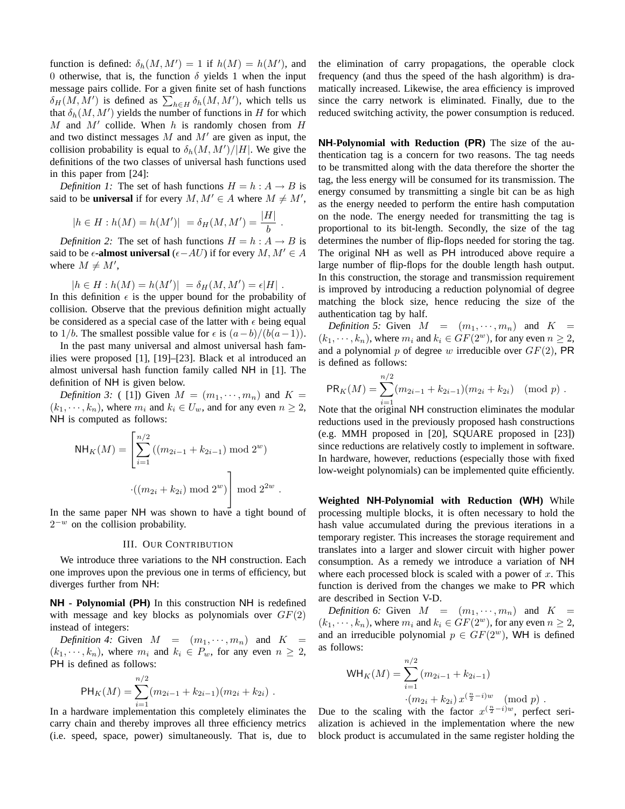function is defined:  $\delta_h(M, M') = 1$  if  $h(M) = h(M')$ , and 0 otherwise, that is, the function  $\delta$  yields 1 when the input message pairs collide. For a given finite set of hash functions message pairs connue. For a given limite set of hash functions  $\delta_H(M, M')$  is defined as  $\sum_{h \in H} \delta_h(M, M')$ , which tells us that  $\delta_h(M, M')$  yields the number of functions in H for which  $M$  and  $M'$  collide. When  $h$  is randomly chosen from  $H$ and two distinct messages  $M$  and  $M'$  are given as input, the collision probability is equal to  $\delta_h(M, M')/|H|$ . We give the definitions of the two classes of universal hash functions used in this paper from [24]:

*Definition 1:* The set of hash functions  $H = h : A \rightarrow B$  is said to be **universal** if for every  $M, M' \in A$  where  $M \neq M'$ ,

$$
|h \in H : h(M) = h(M')| = \delta_H(M, M') = \frac{|H|}{b}.
$$

*Definition 2:* The set of hash functions  $H = h : A \rightarrow B$  is said to be  $\epsilon$ **-almost universal** ( $\epsilon$ −AU) if for every M,  $M' \in A$ where  $M \neq M'$ ,

$$
|h \in H : h(M) = h(M')| = \delta_H(M, M') = \epsilon |H|.
$$

In this definition  $\epsilon$  is the upper bound for the probability of collision. Observe that the previous definition might actually be considered as a special case of the latter with  $\epsilon$  being equal to 1/b. The smallest possible value for  $\epsilon$  is  $(a-b)/(b(a-1))$ .

In the past many universal and almost universal hash families were proposed [1], [19]–[23]. Black et al introduced an almost universal hash function family called NH in [1]. The definition of NH is given below.

*Definition 3:* (11) Given  $M = (m_1, \dots, m_n)$  and  $K =$  $(k_1, \dots, k_n)$ , where  $m_i$  and  $k_i \in U_w$ , and for any even  $n \geq 2$ , NH is computed as follows:

NH<sub>K</sub>(M) = 
$$
\left[ \sum_{i=1}^{n/2} ((m_{2i-1} + k_{2i-1}) \mod 2^w) \cdot ((m_{2i} + k_{2i}) \mod 2^w) \right]
$$
 mod  $2^{2w}$ .

In the same paper NH was shown to have a tight bound of  $2^{-w}$  on the collision probability.

# III. OUR CONTRIBUTION

We introduce three variations to the NH construction. Each one improves upon the previous one in terms of efficiency, but diverges further from NH:

**NH - Polynomial (PH)** In this construction NH is redefined with message and key blocks as polynomials over  $GF(2)$ instead of integers:

*Definition 4:* Given  $M = (m_1, \dots, m_n)$  and  $K =$  $(k_1, \dots, k_n)$ , where  $m_i$  and  $k_i \in P_w$ , for any even  $n \geq 2$ , PH is defined as follows:

$$
PH_K(M) = \sum_{i=1}^{n/2} (m_{2i-1} + k_{2i-1})(m_{2i} + k_{2i}).
$$

In a hardware implementation this completely eliminates the carry chain and thereby improves all three efficiency metrics (i.e. speed, space, power) simultaneously. That is, due to the elimination of carry propagations, the operable clock frequency (and thus the speed of the hash algorithm) is dramatically increased. Likewise, the area efficiency is improved since the carry network is eliminated. Finally, due to the reduced switching activity, the power consumption is reduced.

**NH-Polynomial with Reduction (PR)** The size of the authentication tag is a concern for two reasons. The tag needs to be transmitted along with the data therefore the shorter the tag, the less energy will be consumed for its transmission. The energy consumed by transmitting a single bit can be as high as the energy needed to perform the entire hash computation on the node. The energy needed for transmitting the tag is proportional to its bit-length. Secondly, the size of the tag determines the number of flip-flops needed for storing the tag. The original NH as well as PH introduced above require a large number of flip-flops for the double length hash output. In this construction, the storage and transmission requirement is improved by introducing a reduction polynomial of degree matching the block size, hence reducing the size of the authentication tag by half.

*Definition 5:* Given  $M = (m_1, \dots, m_n)$  and  $K =$  $(k_1, \dots, k_n)$ , where  $m_i$  and  $k_i \in GF(2^w)$ , for any even  $n \geq 2$ , and a polynomial p of degree w irreducible over  $GF(2)$ , PR is defined as follows:

$$
PR_K(M) = \sum_{i=1}^{n/2} (m_{2i-1} + k_{2i-1})(m_{2i} + k_{2i}) \pmod{p} .
$$

Note that the original NH construction eliminates the modular reductions used in the previously proposed hash constructions (e.g. MMH proposed in [20], SQUARE proposed in [23]) since reductions are relatively costly to implement in software. In hardware, however, reductions (especially those with fixed low-weight polynomials) can be implemented quite efficiently.

**Weighted NH-Polynomial with Reduction (WH)** While processing multiple blocks, it is often necessary to hold the hash value accumulated during the previous iterations in a temporary register. This increases the storage requirement and translates into a larger and slower circuit with higher power consumption. As a remedy we introduce a variation of NH where each processed block is scaled with a power of  $x$ . This function is derived from the changes we make to PR which are described in Section V-D.

*Definition 6:* Given  $M = (m_1, \dots, m_n)$  and  $K =$  $(k_1, \dots, k_n)$ , where  $m_i$  and  $k_i \in GF(2^w)$ , for any even  $n \geq 2$ , and an irreducible polynomial  $p \in GF(2^w)$ , WH is defined as follows:

$$
WH_K(M) = \sum_{i=1}^{n/2} (m_{2i-1} + k_{2i-1})
$$

$$
\cdot (m_{2i} + k_{2i}) x^{(\frac{n}{2} - i)w} \pmod{p}.
$$

Due to the scaling with the factor  $x^{(\frac{n}{2} - i)w}$ , perfect serialization is achieved in the implementation where the new block product is accumulated in the same register holding the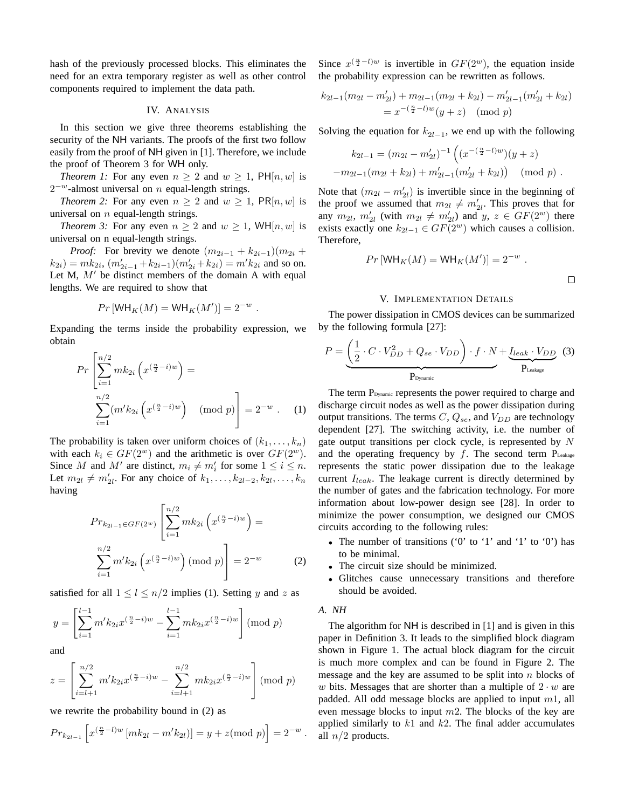hash of the previously processed blocks. This eliminates the need for an extra temporary register as well as other control components required to implement the data path.

## IV. ANALYSIS

In this section we give three theorems establishing the security of the NH variants. The proofs of the first two follow easily from the proof of NH given in [1]. Therefore, we include the proof of Theorem 3 for WH only.

*Theorem 1:* For any even  $n \geq 2$  and  $w \geq 1$ ,  $PH[n, w]$  is  $2^{-w}$ -almost universal on *n* equal-length strings.

*Theorem 2:* For any even  $n \geq 2$  and  $w \geq 1$ ,  $PR[n, w]$  is universal on  $n$  equal-length strings.

*Theorem 3:* For any even  $n \geq 2$  and  $w \geq 1$ , WH[n, w] is universal on n equal-length strings.

*Proof:* For brevity we denote  $(m_{2i-1} + k_{2i-1})(m_{2i} + k_{2i})$  $(k_{2i}) = mk_{2i}, (m'_{2i-1} + k_{2i-1})(m'_{2i} + k_{2i}) = m'k_{2i}$  and so on. Let M,  $M'$  be distinct members of the domain A with equal lengths. We are required to show that

$$
Pr[WH_K(M) = WH_K(M')] = 2^{-w}.
$$

Expanding the terms inside the probability expression, we obtain

$$
Pr\left[\sum_{i=1}^{n/2} mk_{2i} \left(x^{\left(\frac{n}{2} - i\right)w}\right) = \sum_{i=1}^{n/2} (m'k_{2i} \left(x^{\left(\frac{n}{2} - i\right)w}\right) \pmod{p}\right] = 2^{-w} . \quad (1)
$$

The probability is taken over uniform choices of  $(k_1, \ldots, k_n)$ with each  $k_i \in GF(2^w)$  and the arithmetic is over  $GF(2^w)$ . Since M and M' are distinct,  $m_i \neq m'_i$  for some  $1 \leq i \leq n$ . Let  $m_{2l} \neq m'_{2l}$ . For any choice of  $k_1, \ldots, k_{2l-2}, k_{2l}, \ldots, k_n$ having

$$
Pr_{k_{2l-1} \in GF(2^w)} \left[ \sum_{i=1}^{n/2} mk_{2i} \left( x^{\left(\frac{n}{2} - i\right)w} \right) = \sum_{i=1}^{n/2} m' k_{2i} \left( x^{\left(\frac{n}{2} - i\right)w} \right) \pmod{p} \right] = 2^{-w} \tag{2}
$$

satisfied for all  $1 \leq l \leq n/2$  implies (1). Setting y and z as

$$
y = \left[\sum_{i=1}^{l-1} m' k_{2i} x^{(\frac{n}{2}-i)w} - \sum_{i=1}^{l-1} m k_{2i} x^{(\frac{n}{2}-i)w}\right] \pmod{p}
$$

and

$$
z = \left[ \sum_{i=l+1}^{n/2} m' k_{2i} x^{(\frac{n}{2}-i)w} - \sum_{i=l+1}^{n/2} m k_{2i} x^{(\frac{n}{2}-i)w} \right] \pmod{p}
$$

we rewrite the probability bound in (2) as

$$
Pr_{k_{2l-1}}\left[x^{(\frac{n}{2}-l)w}[mk_{2l}-m'k_{2l})\right]=y+z \text{ (mod } p)\right]=2^{-w}.
$$

Since  $x^{(\frac{n}{2}-l)w}$  is invertible in  $GF(2^w)$ , the equation inside the probability expression can be rewritten as follows.

$$
k_{2l-1}(m_{2l} - m'_{2l}) + m_{2l-1}(m_{2l} + k_{2l}) - m'_{2l-1}(m'_{2l} + k_{2l})
$$
  
=  $x^{-(\frac{n}{2}-l)w}(y+z) \pmod{p}$ 

Solving the equation for  $k_{2l-1}$ , we end up with the following

$$
k_{2l-1} = (m_{2l} - m'_{2l})^{-1} \left( (x^{-(\frac{n}{2}-l)w})(y+z) - m_{2l-1}(m_{2l} + k_{2l}) + m'_{2l-1}(m'_{2l} + k_{2l}) \right) \pmod{p}.
$$

Note that  $(m_{2l} - m'_{2l})$  is invertible since in the beginning of the proof we assumed that  $m_{2l} \neq m'_{2l}$ . This proves that for any  $m_{2l}$ ,  $m'_{2l}$  (with  $m_{2l} \neq m'_{2l}$ ) and  $y, z \in GF(2^w)$  there exists exactly one  $k_{2l-1} \in GF(2^w)$  which causes a collision. Therefore,

$$
Pr[WH_K(M) = WH_K(M')] = 2^{-w} .
$$

## V. IMPLEMENTATION DETAILS

The power dissipation in CMOS devices can be summarized by the following formula [27]:

$$
P = \underbrace{\left(\frac{1}{2} \cdot C \cdot V_{DD}^2 + Q_{se} \cdot V_{DD}\right) \cdot f \cdot N}_{P_{\text{Dynamic}}} + \underbrace{I_{leak} \cdot V_{DD}}_{P_{\text{Leakage}}} \tag{3}
$$

The term P<sub>Dynamic</sub> represents the power required to charge and discharge circuit nodes as well as the power dissipation during output transitions. The terms  $C, Q_{se}$ , and  $V_{DD}$  are technology dependent [27]. The switching activity, i.e. the number of gate output transitions per clock cycle, is represented by N and the operating frequency by  $f$ . The second term  $P_{\text{Leakage}}$ represents the static power dissipation due to the leakage current  $I<sub>leak</sub>$ . The leakage current is directly determined by the number of gates and the fabrication technology. For more information about low-power design see [28]. In order to minimize the power consumption, we designed our CMOS circuits according to the following rules:

- The number of transitions ('0' to '1' and '1' to '0') has to be minimal.
- The circuit size should be minimized.
- Glitches cause unnecessary transitions and therefore should be avoided.
- *A. NH*

The algorithm for NH is described in [1] and is given in this paper in Definition 3. It leads to the simplified block diagram shown in Figure 1. The actual block diagram for the circuit is much more complex and can be found in Figure 2. The message and the key are assumed to be split into  $n$  blocks of w bits. Messages that are shorter than a multiple of  $2 \cdot w$  are padded. All odd message blocks are applied to input  $m1$ , all even message blocks to input  $m2$ . The blocks of the key are applied similarly to  $k1$  and  $k2$ . The final adder accumulates all  $n/2$  products.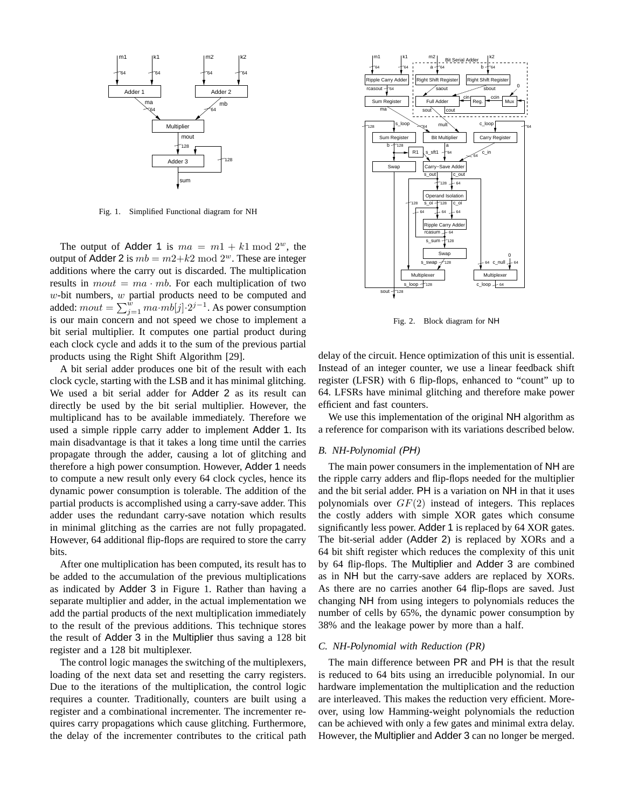

Fig. 1. Simplified Functional diagram for NH

The output of Adder 1 is  $ma = m1 + k1 \mod 2^w$ , the output of Adder 2 is  $mb = m2+k2 \text{ mod } 2^w$ . These are integer additions where the carry out is discarded. The multiplication results in  $mout = ma \cdot mb$ . For each multiplication of two  $w$ -bit numbers,  $w$  partial products need to be computed and w-bit numbers, w partial products need to be computed and added:  $mout = \sum_{j=1}^{w} m a \cdot mb[j] \cdot 2^{j-1}$ . As power consumption is our main concern and not speed we chose to implement a bit serial multiplier. It computes one partial product during each clock cycle and adds it to the sum of the previous partial products using the Right Shift Algorithm [29].

A bit serial adder produces one bit of the result with each clock cycle, starting with the LSB and it has minimal glitching. We used a bit serial adder for Adder 2 as its result can directly be used by the bit serial multiplier. However, the multiplicand has to be available immediately. Therefore we used a simple ripple carry adder to implement Adder 1. Its main disadvantage is that it takes a long time until the carries propagate through the adder, causing a lot of glitching and therefore a high power consumption. However, Adder 1 needs to compute a new result only every 64 clock cycles, hence its dynamic power consumption is tolerable. The addition of the partial products is accomplished using a carry-save adder. This adder uses the redundant carry-save notation which results in minimal glitching as the carries are not fully propagated. However, 64 additional flip-flops are required to store the carry bits.

After one multiplication has been computed, its result has to be added to the accumulation of the previous multiplications as indicated by Adder 3 in Figure 1. Rather than having a separate multiplier and adder, in the actual implementation we add the partial products of the next multiplication immediately to the result of the previous additions. This technique stores the result of Adder 3 in the Multiplier thus saving a 128 bit register and a 128 bit multiplexer.

The control logic manages the switching of the multiplexers, loading of the next data set and resetting the carry registers. Due to the iterations of the multiplication, the control logic requires a counter. Traditionally, counters are built using a register and a combinational incrementer. The incrementer requires carry propagations which cause glitching. Furthermore, the delay of the incrementer contributes to the critical path



Fig. 2. Block diagram for NH

delay of the circuit. Hence optimization of this unit is essential. Instead of an integer counter, we use a linear feedback shift register (LFSR) with 6 flip-flops, enhanced to "count" up to 64. LFSRs have minimal glitching and therefore make power efficient and fast counters.

We use this implementation of the original NH algorithm as a reference for comparison with its variations described below.

# *B. NH-Polynomial (*PH*)*

The main power consumers in the implementation of NH are the ripple carry adders and flip-flops needed for the multiplier and the bit serial adder. PH is a variation on NH in that it uses polynomials over  $GF(2)$  instead of integers. This replaces the costly adders with simple XOR gates which consume significantly less power. Adder 1 is replaced by 64 XOR gates. The bit-serial adder (Adder 2) is replaced by XORs and a 64 bit shift register which reduces the complexity of this unit by 64 flip-flops. The Multiplier and Adder 3 are combined as in NH but the carry-save adders are replaced by XORs. As there are no carries another 64 flip-flops are saved. Just changing NH from using integers to polynomials reduces the number of cells by 65%, the dynamic power consumption by 38% and the leakage power by more than a half.

# *C. NH-Polynomial with Reduction (PR)*

The main difference between PR and PH is that the result is reduced to 64 bits using an irreducible polynomial. In our hardware implementation the multiplication and the reduction are interleaved. This makes the reduction very efficient. Moreover, using low Hamming-weight polynomials the reduction can be achieved with only a few gates and minimal extra delay. However, the Multiplier and Adder 3 can no longer be merged.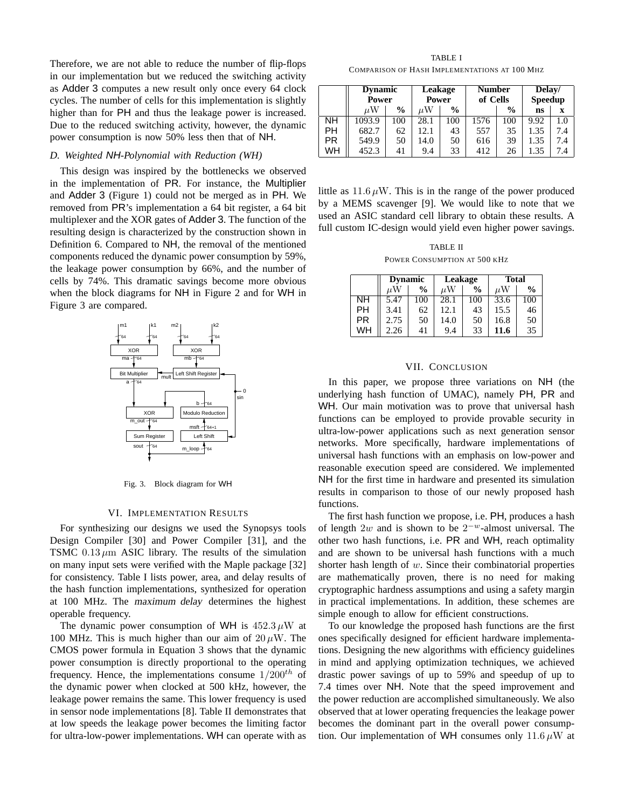Therefore, we are not able to reduce the number of flip-flops in our implementation but we reduced the switching activity as Adder 3 computes a new result only once every 64 clock cycles. The number of cells for this implementation is slightly higher than for PH and thus the leakage power is increased. Due to the reduced switching activity, however, the dynamic power consumption is now 50% less then that of NH.

# *D. Weighted* NH*-Polynomial with Reduction (WH)*

This design was inspired by the bottlenecks we observed in the implementation of PR. For instance, the Multiplier and Adder 3 (Figure 1) could not be merged as in PH. We removed from PR's implementation a 64 bit register, a 64 bit multiplexer and the XOR gates of Adder 3. The function of the resulting design is characterized by the construction shown in Definition 6. Compared to NH, the removal of the mentioned components reduced the dynamic power consumption by 59%, the leakage power consumption by 66%, and the number of cells by 74%. This dramatic savings become more obvious when the block diagrams for NH in Figure 2 and for WH in Figure 3 are compared.



Fig. 3. Block diagram for WH

#### VI. IMPLEMENTATION RESULTS

For synthesizing our designs we used the Synopsys tools Design Compiler [30] and Power Compiler [31], and the TSMC  $0.13 \mu m$  ASIC library. The results of the simulation on many input sets were verified with the Maple package [32] for consistency. Table I lists power, area, and delay results of the hash function implementations, synthesized for operation at 100 MHz. The maximum delay determines the highest operable frequency.

The dynamic power consumption of WH is  $452.3 \mu W$  at 100 MHz. This is much higher than our aim of  $20 \mu W$ . The CMOS power formula in Equation 3 shows that the dynamic power consumption is directly proportional to the operating frequency. Hence, the implementations consume  $1/200^{th}$  of the dynamic power when clocked at 500 kHz, however, the leakage power remains the same. This lower frequency is used in sensor node implementations [8]. Table II demonstrates that at low speeds the leakage power becomes the limiting factor for ultra-low-power implementations. WH can operate with as

TABLE I COMPARISON OF HASH IMPLEMENTATIONS AT 100 MHZ

|     | <b>Dynamic</b><br>Power |               | Leakage<br>Power |               | <b>Number</b><br>of Cells |               | Delay/<br><b>Speedup</b> |     |
|-----|-------------------------|---------------|------------------|---------------|---------------------------|---------------|--------------------------|-----|
|     | $\mu$ W                 | $\frac{6}{9}$ | uW               | $\frac{0}{0}$ |                           | $\frac{0}{0}$ | ns                       | x   |
| NΗ  | 1093.9                  | 100           | 28.1             | 100           | 1576                      | 100           | 9.92                     | 1.0 |
| PН  | 682.7                   | 62            | 12.1             | 43            | 557                       | 35            | 1.35                     | 74  |
| PR. | 549.9                   | 50            | 14.0             | 50            | 616                       | 39            | 1.35                     | 7.4 |
| WH  | 452.3                   | 41            | 9.4              | 33            | 412                       | 26            | 1.35                     | 7.4 |

little as  $11.6 \mu W$ . This is in the range of the power produced by a MEMS scavenger [9]. We would like to note that we used an ASIC standard cell library to obtain these results. A full custom IC-design would yield even higher power savings.

TABLE II POWER CONSUMPTION AT 500 KHZ

|           | <b>Dynamic</b> |               | Leakage |               | <b>Total</b> |               |  |
|-----------|----------------|---------------|---------|---------------|--------------|---------------|--|
|           | иW             | $\frac{0}{0}$ | μW      | $\frac{0}{0}$ | μW           | $\frac{0}{0}$ |  |
| NΗ        | 5.47           | 100           | 28.1    | 100           | 33.6         | 100           |  |
| PH        | 3.41           | 62            | 12.1    | 43            | 15.5         | 46            |  |
| <b>PR</b> | 2.75           | 50            | 14.0    | 50            | 16.8         | 50            |  |
| WН        | 2.26           | 41            | 9.4     | 33            | 11.6         | 35            |  |

#### VII. CONCLUSION

In this paper, we propose three variations on NH (the underlying hash function of UMAC), namely PH, PR and WH. Our main motivation was to prove that universal hash functions can be employed to provide provable security in ultra-low-power applications such as next generation sensor networks. More specifically, hardware implementations of universal hash functions with an emphasis on low-power and reasonable execution speed are considered. We implemented NH for the first time in hardware and presented its simulation results in comparison to those of our newly proposed hash functions.

The first hash function we propose, i.e. PH, produces a hash of length  $2w$  and is shown to be  $2^{-w}$ -almost universal. The other two hash functions, i.e. PR and WH, reach optimality and are shown to be universal hash functions with a much shorter hash length of w. Since their combinatorial properties are mathematically proven, there is no need for making cryptographic hardness assumptions and using a safety margin in practical implementations. In addition, these schemes are simple enough to allow for efficient constructions.

To our knowledge the proposed hash functions are the first ones specifically designed for efficient hardware implementations. Designing the new algorithms with efficiency guidelines in mind and applying optimization techniques, we achieved drastic power savings of up to 59% and speedup of up to 7.4 times over NH. Note that the speed improvement and the power reduction are accomplished simultaneously. We also observed that at lower operating frequencies the leakage power becomes the dominant part in the overall power consumption. Our implementation of WH consumes only 11.6  $\mu$ W at